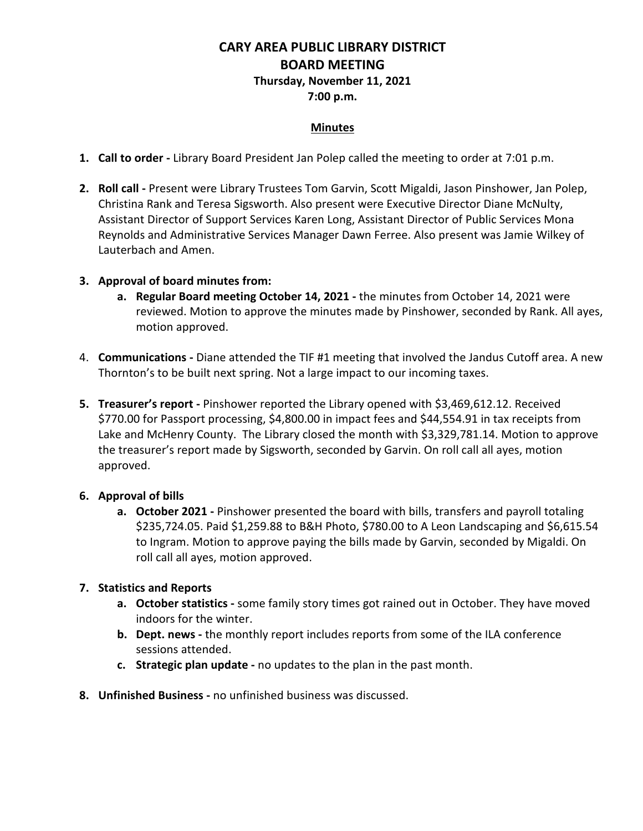## **CARY AREA PUBLIC LIBRARY DISTRICT BOARD MEETING Thursday, November 11, 2021**

# **7:00 p.m.**

### **Minutes**

- **1. Call to order -** Library Board President Jan Polep called the meeting to order at 7:01 p.m.
- **2. Roll call -** Present were Library Trustees Tom Garvin, Scott Migaldi, Jason Pinshower, Jan Polep, Christina Rank and Teresa Sigsworth. Also present were Executive Director Diane McNulty, Assistant Director of Support Services Karen Long, Assistant Director of Public Services Mona Reynolds and Administrative Services Manager Dawn Ferree. Also present was Jamie Wilkey of Lauterbach and Amen.

### **3. Approval of board minutes from:**

- **a. Regular Board meeting October 14, 2021 -** the minutes from October 14, 2021 were reviewed. Motion to approve the minutes made by Pinshower, seconded by Rank. All ayes, motion approved.
- 4. **Communications -** Diane attended the TIF #1 meeting that involved the Jandus Cutoff area. A new Thornton's to be built next spring. Not a large impact to our incoming taxes.
- **5. Treasurer's report -** Pinshower reported the Library opened with \$3,469,612.12. Received \$770.00 for Passport processing, \$4,800.00 in impact fees and \$44,554.91 in tax receipts from Lake and McHenry County. The Library closed the month with \$3,329,781.14. Motion to approve the treasurer's report made by Sigsworth, seconded by Garvin. On roll call all ayes, motion approved.

### **6. Approval of bills**

**a. October 2021 -** Pinshower presented the board with bills, transfers and payroll totaling \$235,724.05. Paid \$1,259.88 to B&H Photo, \$780.00 to A Leon Landscaping and \$6,615.54 to Ingram. Motion to approve paying the bills made by Garvin, seconded by Migaldi. On roll call all ayes, motion approved.

### **7. Statistics and Reports**

- **a. October statistics -** some family story times got rained out in October. They have moved indoors for the winter.
- **b. Dept. news -** the monthly report includes reports from some of the ILA conference sessions attended.
- **c. Strategic plan update -** no updates to the plan in the past month.
- **8. Unfinished Business -** no unfinished business was discussed.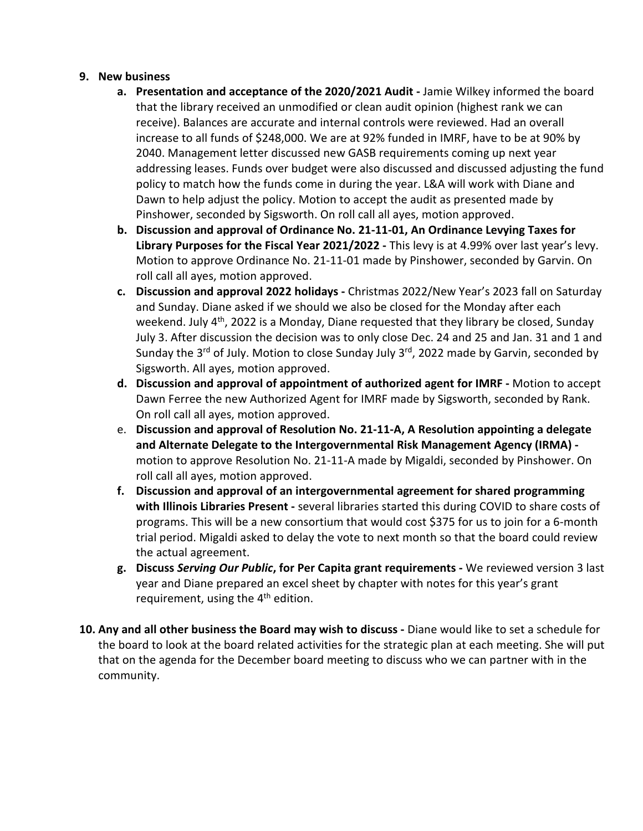### **9. New business**

- **a. Presentation and acceptance of the 2020/2021 Audit -** Jamie Wilkey informed the board that the library received an unmodified or clean audit opinion (highest rank we can receive). Balances are accurate and internal controls were reviewed. Had an overall increase to all funds of \$248,000. We are at 92% funded in IMRF, have to be at 90% by 2040. Management letter discussed new GASB requirements coming up next year addressing leases. Funds over budget were also discussed and discussed adjusting the fund policy to match how the funds come in during the year. L&A will work with Diane and Dawn to help adjust the policy. Motion to accept the audit as presented made by Pinshower, seconded by Sigsworth. On roll call all ayes, motion approved.
- **b. Discussion and approval of Ordinance No. 21-11-01, An Ordinance Levying Taxes for Library Purposes for the Fiscal Year 2021/2022 -** This levy is at 4.99% over last year's levy. Motion to approve Ordinance No. 21-11-01 made by Pinshower, seconded by Garvin. On roll call all ayes, motion approved.
- **c. Discussion and approval 2022 holidays -** Christmas 2022/New Year's 2023 fall on Saturday and Sunday. Diane asked if we should we also be closed for the Monday after each weekend. July 4<sup>th</sup>, 2022 is a Monday, Diane requested that they library be closed, Sunday July 3. After discussion the decision was to only close Dec. 24 and 25 and Jan. 31 and 1 and Sunday the 3<sup>rd</sup> of July. Motion to close Sunday July 3<sup>rd</sup>, 2022 made by Garvin, seconded by Sigsworth. All ayes, motion approved.
- **d. Discussion and approval of appointment of authorized agent for IMRF -** Motion to accept Dawn Ferree the new Authorized Agent for IMRF made by Sigsworth, seconded by Rank. On roll call all ayes, motion approved.
- e. **Discussion and approval of Resolution No. 21-11-A, A Resolution appointing a delegate and Alternate Delegate to the Intergovernmental Risk Management Agency (IRMA)**  motion to approve Resolution No. 21-11-A made by Migaldi, seconded by Pinshower. On roll call all ayes, motion approved.
- **f. Discussion and approval of an intergovernmental agreement for shared programming with Illinois Libraries Present -** several libraries started this during COVID to share costs of programs. This will be a new consortium that would cost \$375 for us to join for a 6-month trial period. Migaldi asked to delay the vote to next month so that the board could review the actual agreement.
- **g. Discuss** *Serving Our Public***, for Per Capita grant requirements -** We reviewed version 3 last year and Diane prepared an excel sheet by chapter with notes for this year's grant requirement, using the  $4<sup>th</sup>$  edition.
- **10. Any and all other business the Board may wish to discuss -** Diane would like to set a schedule for the board to look at the board related activities for the strategic plan at each meeting. She will put that on the agenda for the December board meeting to discuss who we can partner with in the community.